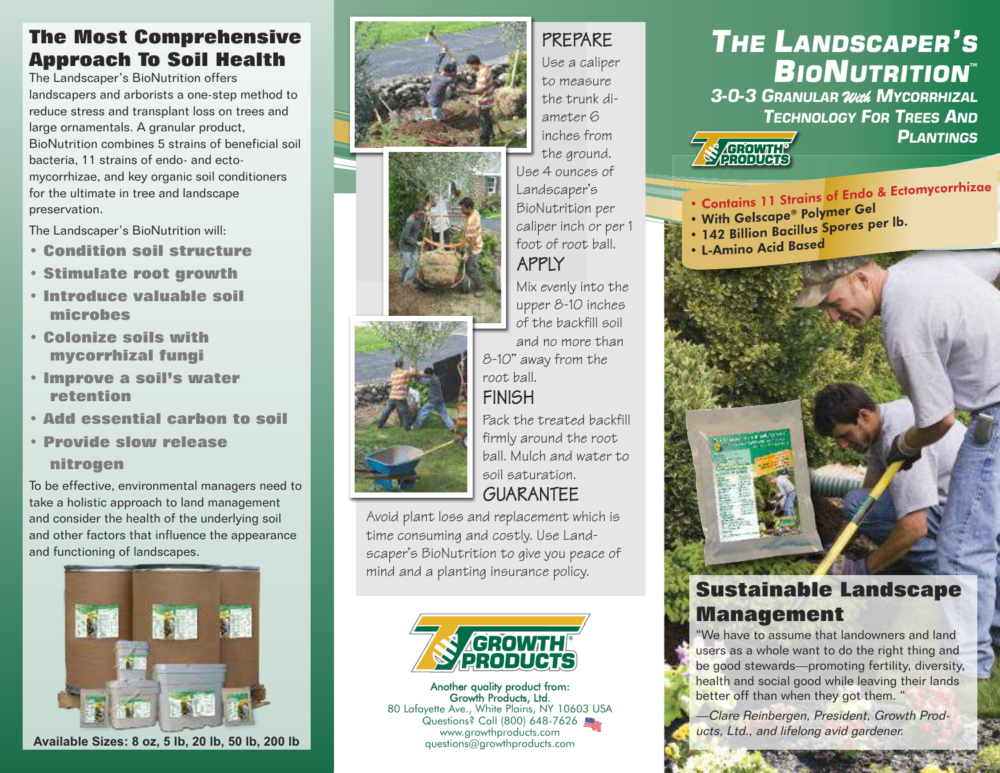### **The Most Comprehensive Approach To Soil Health**

The Landscaper's BioNutrition offers landscapers and arborists a one-step method to reduce stress and transplant loss on trees and large ornamentals. A granular product, BioNutrition combines 5 strains of beneficial soil bacteria, 11 strains of endo- and ectomycorrhizae, and key organic soil conditioners for the ultimate in tree and landscape preservation.

The Landscaper's BioNutrition will:

- **• Condition soil structure**
- **• Stimulate root growth**
- **• Introduce valuable soil microbes**
- **• Colonize soils with mycorrhizal fungi**
- **• Improve a soil's water retention**
- **• Add essential carbon to soil**
- **• Provide slow release**

#### **nitrogen**

To be effective, environmental managers need to take a holistic approach to land management and consider the health of the underlying soil and other factors that influence the appearance and functioning of landscapes.



**Available Sizes: 8 oz, 5 lb, 20 lb, 50 lb, 200 lb**







PREPARE

Use a caliper to measure the trunk diameter 6 inches from the ground. Use 4 ounces of Landscaper's BioNutrition per caliper inch or per 1 foot of root ball. APPLY

Mix evenly into the upper 8-10 inches of the backfill soil and no more than

8-10'' away from the root ball.

## **FINISH**

Pack the treated backfill firmly around the root ball. Mulch and water to soil saturation. GUARANTEE

Avoid plant loss and replacement which is time consuming and costly. Use Landscaper's BioNutrition to give you peace of mind and a planting insurance policy.



Another quality product from: Growth Products, Ltd. 80 Lafayette Ave., White Plains, NY 10603 USA Questions? Call (800) 648-7626 www.growthproducts.com questions@growthproducts.com

## *THE LANDSCAPER'S BIONUTRITION™ 3-0-3 GRANULAR With MYCORRHIZAL*

*TECHNOLOGY FOR TREES AND PLANTINGS*

**SA GROVILLE** 

- Contains 11 Strains of Endo & Ectomycorrhizae
- Contains IT Strams of The Cel<br>• With Gelscape® Polymer Gel • With Gelscape® Polymer Constants.<br>• 142 Billion Bacillus Spores per lb.
- L-Amino Acid Based



## **Sustainable Landscape Management**

"We have to assume that landowners and land users as a whole want to do the right thing and be good stewards—promoting fertility, diversity, health and social good while leaving their lands better off than when they got them. "

—Clare Reinbergen, President, Growth Products, Ltd., and lifelong avid gardener.